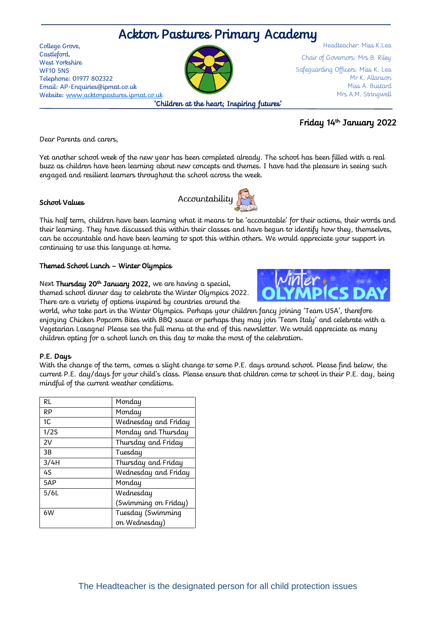# Ackton Pastures Primary Academy

College Grove, Castleford, West Yorkshire WF10 5NS Telephone: 01977 802322 Email: AP-Enquiries@ipmat.co.uk Website: [www.acktonpastures.ipmat.co.uk](http://www.acktonpastures.ipmat.co.uk/) 'Children at the heart; Inspiring futures'

Chair of Governors: Mrs B. Riley Safeguarding Officers: Miss K. Lea Mr K. Allanson Miss A. Bustard Mrs A.M. Stringwell

Headteacher: Miss K.Lea

### Friday 14<sup>th</sup> January 2022

Dear Parents and carers,

Yet another school week of the new year has been completed already. The school has been filled with a real buzz as children have been learning about new concepts and themes. I have had the pleasure in seeing such engaged and resilient learners throughout the school across the week.

Accountability

#### School Values



#### Themed School Lunch – Winter Olympics

Next **Thursday 20<sup>th</sup> January 2022,** we are having a special, themed school dinner day to celebrate the Winter Olympics 2022. There are a variety of options inspired by countries around the

world, who take part in the Winter Olympics. Perhaps your children fancy joining 'Team USA', therefore enjoying Chicken Popcorn Bites with BBQ sauce or perhaps they may join 'Team Italy' and celebrate with a Vegetarian Lasagne! Please see the full menu at the end of this newsletter. We would appreciate as many children opting for a school lunch on this day to make the most of the celebration.

#### P.E. Days

With the change of the term, comes a slight change to some P.E. days around school. Please find below, the current P.E. day/days for your child's class. Please ensure that children come to school in their P.E. day, being mindful of the current weather conditions.

| RL   | Monday               |
|------|----------------------|
| RP   | Monday               |
| 1C   | Wednesday and Friday |
| 1/2S | Monday and Thursday  |
| 2V   | Thursday and Friday  |
| 3B   | Tuesday              |
| 3/4H | Thursday and Friday  |
| 4S   | Wednesday and Friday |
| 5AP  | Monday               |
| 5/6L | Wednesday            |
|      | (Swimming on Friday) |
| 6W   | Tuesday (Swimming    |
|      | on Wednesday)        |

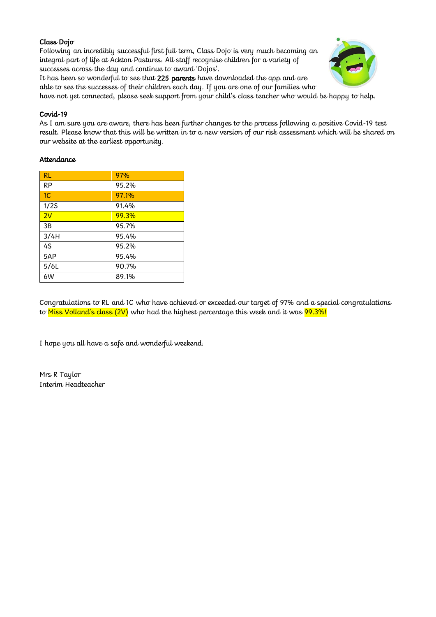#### Class Dojo

Following an incredibly successful first full term, Class Dojo is very much becoming an integral part of life at Ackton Pastures. All staff recognise children for a variety of successes across the day and continue to award 'Dojos'.

It has been so wonderful to see that 225 parents have downloaded the app and are able to see the successes of their children each day. If you are one of our families who



have not yet connected, please seek support from your child's class teacher who would be happy to help.

#### Covid-19

As I am sure you are aware, there has been further changes to the process following a positive Covid-19 test result. Please know that this will be written in to a new version of our risk assessment which will be shared on our website at the earliest opportunity.

#### **Attendance**

| RL             | 97%   |
|----------------|-------|
| RP             | 95.2% |
| 1 <sup>C</sup> | 97.1% |
| 1/2S           | 91.4% |
| 2V             | 99.3% |
| 3B             | 95.7% |
| 3/4H           | 95.4% |
| 4S             | 95.2% |
| 5AP            | 95.4% |
| 5/6L           | 90.7% |
| 6W             | 89.1% |

Congratulations to RL and 1C who have achieved or exceeded our target of 97% and a special congratulations to Miss Volland's class  $(2V)$  who had the highest percentage this week and it was  $99.3\%$ !

I hope you all have a safe and wonderful weekend.

Mrs R Taylor Interim Headteacher